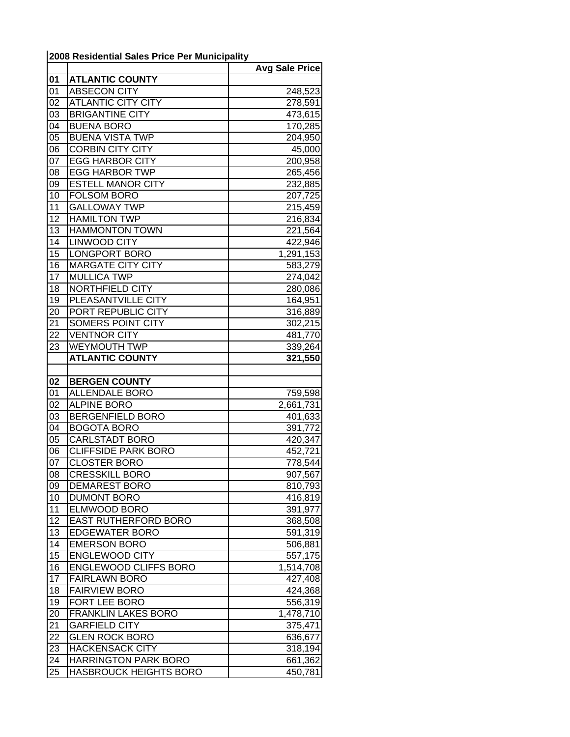## **2008 Residential Sales Price Per Municipality**

|                 |                                               | <b>Avg Sale Price</b> |
|-----------------|-----------------------------------------------|-----------------------|
| 01              | <b>ATLANTIC COUNTY</b>                        |                       |
| 01              | <b>ABSECON CITY</b>                           | 248,523               |
| 02              | <b>ATLANTIC CITY CITY</b>                     | 278,591               |
| 03              | <b>BRIGANTINE CITY</b>                        | 473,615               |
| 04              | <b>BUENA BORO</b>                             | 170,285               |
| 05              | <b>BUENA VISTA TWP</b>                        | 204,950               |
| 06              | <b>CORBIN CITY CITY</b>                       | 45,000                |
| 07              | <b>EGG HARBOR CITY</b>                        | 200,958               |
| 08              | <b>EGG HARBOR TWP</b>                         | 265,456               |
| 09              | <b>ESTELL MANOR CITY</b>                      | 232,885               |
| 10              | <b>FOLSOM BORO</b>                            | 207,725               |
| 11              | <b>GALLOWAY TWP</b>                           | 215,459               |
| $\overline{12}$ | <b>HAMILTON TWP</b>                           | 216,834               |
| 13              | <b>HAMMONTON TOWN</b>                         | 221,564               |
| 14              | LINWOOD CITY                                  | 422,946               |
| 15              | <b>LONGPORT BORO</b>                          | 1,291,153             |
| 16              | <b>MARGATE CITY CITY</b>                      | 583,279               |
| 17              | <b>MULLICA TWP</b>                            | 274,042               |
| 18              | NORTHFIELD CITY                               | 280,086               |
| 19              | PLEASANTVILLE CITY                            | 164,951               |
| 20              | PORT REPUBLIC CITY                            | 316,889               |
| 21              | SOMERS POINT CITY                             | 302,215               |
| 22              | <b>VENTNOR CITY</b>                           | 481,770               |
| 23              | <b>WEYMOUTH TWP</b>                           | 339,264               |
|                 | <b>ATLANTIC COUNTY</b>                        | 321,550               |
|                 |                                               |                       |
| 02<br>01        | <b>BERGEN COUNTY</b><br><b>ALLENDALE BORO</b> |                       |
| 02              | <b>ALPINE BORO</b>                            | 759,598<br>2,661,731  |
| 03              | <b>BERGENFIELD BORO</b>                       | 401,633               |
| 04              | <b>BOGOTA BORO</b>                            | 391,772               |
| 05              | CARLSTADT BORO                                | 420,347               |
| 06              | <b>CLIFFSIDE PARK BORO</b>                    | 452,721               |
| 07              | <b>CLOSTER BORO</b>                           | 778,544               |
| 08              | <b>CRESSKILL BORO</b>                         | 907,567               |
| 09              | <b>DEMAREST BORO</b>                          | 810,793               |
| 10              | <b>DUMONT BORO</b>                            | 416,819               |
| 11              | <b>ELMWOOD BORO</b>                           | 391,977               |
| 12              | <b>EAST RUTHERFORD BORO</b>                   | 368,508               |
| 13              | <b>EDGEWATER BORO</b>                         | 591,319               |
| 14              | <b>EMERSON BORO</b>                           | 506,881               |
| 15              | <b>ENGLEWOOD CITY</b>                         | 557,175               |
| 16              | <b>ENGLEWOOD CLIFFS BORO</b>                  | 1,514,708             |
| $\overline{17}$ | <b>FAIRLAWN BORO</b>                          | 427,408               |
| 18              | <b>FAIRVIEW BORO</b>                          | 424,368               |
| 19              | FORT LEE BORO                                 | 556,319               |
| 20              | <b>FRANKLIN LAKES BORO</b>                    | 1,478,710             |
| 21              | <b>GARFIELD CITY</b>                          | 375,471               |
| 22              | <b>GLEN ROCK BORO</b>                         | 636,677               |
| 23              | <b>HACKENSACK CITY</b>                        | 318,194               |
| 24              | <b>HARRINGTON PARK BORO</b>                   | 661,362               |
| 25              | HASBROUCK HEIGHTS BORO                        | 450,781               |
|                 |                                               |                       |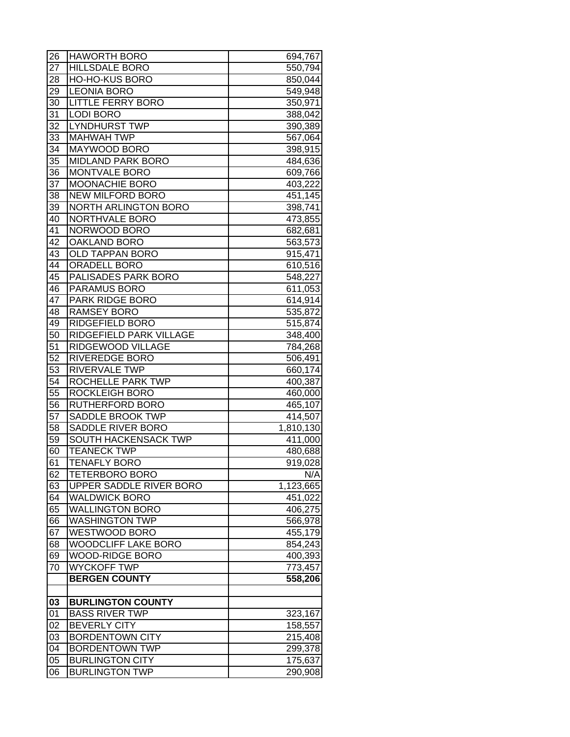| 26              | <b>HAWORTH BORO</b>                   | 694,767   |
|-----------------|---------------------------------------|-----------|
| 27              | <b>HILLSDALE BORO</b>                 | 550,794   |
| 28              | <b>HO-HO-KUS BORO</b>                 | 850,044   |
| 29              | <b>LEONIA BORO</b>                    | 549,948   |
| 30              | <b>LITTLE FERRY BORO</b>              | 350,971   |
| 31              | <b>LODI BORO</b>                      | 388,042   |
| 32              | <b>LYNDHURST TWP</b>                  | 390,389   |
| 33              | <b>MAHWAH TWP</b>                     | 567,064   |
| 34              | <b>MAYWOOD BORO</b>                   | 398,915   |
| 35              | <b>MIDLAND PARK BORO</b>              | 484,636   |
| 36              | <b>MONTVALE BORO</b>                  | 609,766   |
| 37              | <b>MOONACHIE BORO</b>                 | 403,222   |
| 38              | NEW MILFORD BORO                      | 451,145   |
| 39              | NORTH ARLINGTON BORO                  | 398,741   |
| 40              | NORTHVALE BORO                        | 473,855   |
| 41              | NORWOOD BORO                          | 682,681   |
| 42              | <b>OAKLAND BORO</b>                   | 563,573   |
| 43              | <b>OLD TAPPAN BORO</b>                | 915,471   |
| 44              | <b>ORADELL BORO</b>                   | 610,516   |
| 45              | <b>PALISADES PARK BORO</b>            | 548,227   |
| 46              | <b>PARAMUS BORO</b>                   | 611,053   |
| 47              | <b>PARK RIDGE BORO</b>                | 614,914   |
| 48              | <b>RAMSEY BORO</b>                    | 535,872   |
| 49              | <b>RIDGEFIELD BORO</b>                | 515,874   |
| 50              | RIDGEFIELD PARK VILLAGE               |           |
| $5\overline{1}$ | RIDGEWOOD VILLAGE                     | 348,400   |
| $\overline{52}$ | <b>RIVEREDGE BORO</b>                 | 784,268   |
| $5\overline{3}$ | <b>RIVERVALE TWP</b>                  | 506,491   |
| 54              | ROCHELLE PARK TWP                     | 660,174   |
| $\overline{55}$ | <b>ROCKLEIGH BORO</b>                 | 400,387   |
| 56              | <b>RUTHERFORD BORO</b>                | 460,000   |
| 57              |                                       | 465,107   |
| 58              | SADDLE BROOK TWP<br>SADDLE RIVER BORO | 414,507   |
|                 |                                       | 1,810,130 |
| 59              | SOUTH HACKENSACK TWP                  | 411,000   |
| 60              | <b>TEANECK TWP</b>                    | 480,688   |
| 61              | <b>TENAFLY BORO</b>                   | 919,028   |
| 62              | <b>TETERBORO BORO</b>                 | N/A       |
| 63              | UPPER SADDLE RIVER BORO               | 1,123,665 |
| 64              | <b>WALDWICK BORO</b>                  | 451,022   |
| 65              | <b>WALLINGTON BORO</b>                | 406,275   |
| 66              | <b>WASHINGTON TWP</b>                 | 566,978   |
| 67              | <b>WESTWOOD BORO</b>                  | 455,179   |
| 68              | <b>WOODCLIFF LAKE BORO</b>            | 854,243   |
| 69              | <b>WOOD-RIDGE BORO</b>                | 400,393   |
| 70              | <b>WYCKOFF TWP</b>                    | 773,457   |
|                 | <b>BERGEN COUNTY</b>                  | 558,206   |
|                 |                                       |           |
| 03              | <b>BURLINGTON COUNTY</b>              |           |
| 01              | <b>BASS RIVER TWP</b>                 | 323,167   |
| 02              | <b>BEVERLY CITY</b>                   | 158,557   |
| 03              | <b>BORDENTOWN CITY</b>                | 215,408   |
| 04              | <b>BORDENTOWN TWP</b>                 | 299,378   |
| 05              | <b>BURLINGTON CITY</b>                | 175,637   |
| 06              | <b>BURLINGTON TWP</b>                 | 290,908   |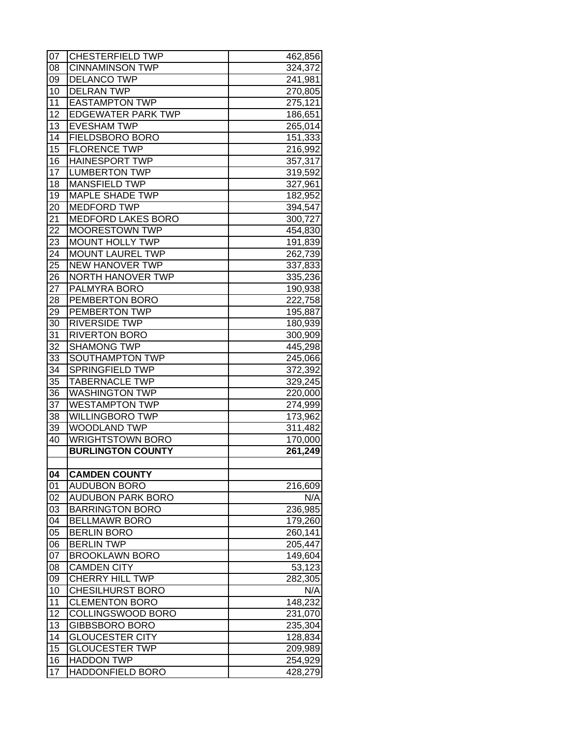| 07 | <b>CHESTERFIELD TWP</b>   | 462,856              |
|----|---------------------------|----------------------|
| 08 | <b>CINNAMINSON TWP</b>    | 324,372              |
| 09 | <b>DELANCO TWP</b>        | 241,981              |
| 10 | <b>DELRAN TWP</b>         | 270,805              |
| 11 | <b>EASTAMPTON TWP</b>     | 275,121              |
| 12 | IEDGEWATER PARK TWP       | 186,651              |
| 13 | <b>EVESHAM TWP</b>        | 265,014              |
| 14 | <b>FIELDSBORO BORO</b>    | 151,333              |
| 15 | <b>FLORENCE TWP</b>       | 216,992              |
| 16 | <b>HAINESPORT TWP</b>     | 357,317              |
| 17 | <b>LUMBERTON TWP</b>      | 319,592              |
| 18 | <b>MANSFIELD TWP</b>      | 327,961              |
| 19 | <b>MAPLE SHADE TWP</b>    | 182,952              |
| 20 | <b>MEDFORD TWP</b>        | 394,547              |
| 21 | <b>MEDFORD LAKES BORO</b> | 300,727              |
| 22 | <b>MOORESTOWN TWP</b>     | 454,830              |
| 23 | <b>MOUNT HOLLY TWP</b>    | 191,839              |
| 24 | <b>MOUNT LAUREL TWP</b>   | 262,739              |
| 25 | <b>NEW HANOVER TWP</b>    | 337,833              |
| 26 | <b>NORTH HANOVER TWP</b>  | 335,236              |
| 27 | <b>PALMYRA BORO</b>       | 190,938              |
| 28 | <b>PEMBERTON BORO</b>     | 222,758              |
| 29 | <b>PEMBERTON TWP</b>      | 195,887              |
| 30 | <b>RIVERSIDE TWP</b>      | 180,939              |
| 31 | <b>RIVERTON BORO</b>      | 300,909              |
| 32 | <b>SHAMONG TWP</b>        | 445,298              |
| 33 | SOUTHAMPTON TWP           | 245,066              |
| 34 | <b>SPRINGFIELD TWP</b>    | 372,392              |
| 35 | <b>TABERNACLE TWP</b>     | 329,245              |
| 36 | <b>WASHINGTON TWP</b>     | 220,000              |
| 37 | <b>WESTAMPTON TWP</b>     | 274,999              |
| 38 | <b>WILLINGBORO TWP</b>    | 173,962              |
| 39 | <b>WOODLAND TWP</b>       | 311,482              |
| 40 | <b>WRIGHTSTOWN BORO</b>   | 170,000              |
|    | <b>BURLINGTON COUNTY</b>  | $\overline{261,249}$ |
|    |                           |                      |
| 04 | <b>CAMDEN COUNTY</b>      |                      |
| 01 | <b>AUDUBON BORO</b>       | 216,609              |
| 02 | <b>AUDUBON PARK BORO</b>  | N/A                  |
| 03 | <b>BARRINGTON BORO</b>    | 236,985              |
| 04 | <b>BELLMAWR BORO</b>      | 179,260              |
| 05 | <b>BERLIN BORO</b>        | 260,141              |
| 06 | <b>BERLIN TWP</b>         | 205,447              |
| 07 | <b>BROOKLAWN BORO</b>     | 149,604              |
| 08 | <b>CAMDEN CITY</b>        | 53,123               |
| 09 | CHERRY HILL TWP           | 282,305              |
| 10 | <b>CHESILHURST BORO</b>   | N/A                  |
| 11 | <b>CLEMENTON BORO</b>     | 148,232              |
| 12 | COLLINGSWOOD BORO         | 231,070              |
| 13 | <b>GIBBSBORO BORO</b>     | 235,304              |
| 14 | <b>GLOUCESTER CITY</b>    | 128,834              |
| 15 | <b>GLOUCESTER TWP</b>     | 209,989              |
| 16 | <b>HADDON TWP</b>         | 254,929              |
| 17 | <b>HADDONFIELD BORO</b>   | 428,279              |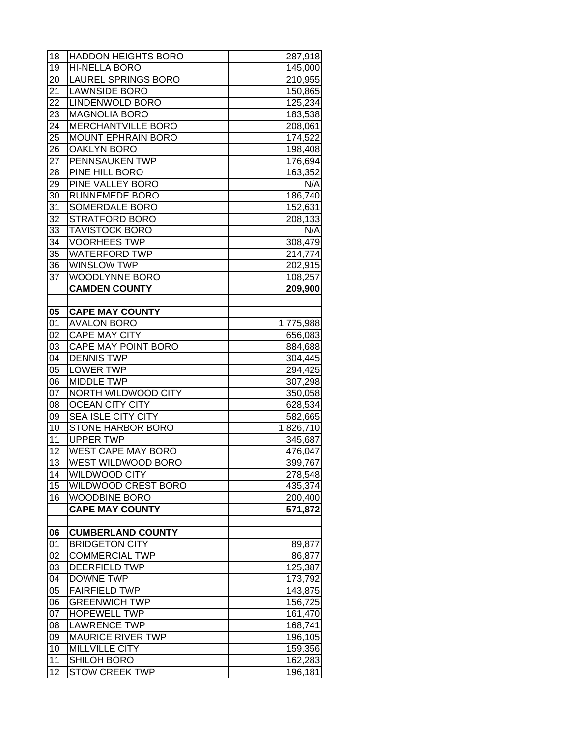| 18              | <b>HADDON HEIGHTS BORO</b> | 287,918   |
|-----------------|----------------------------|-----------|
| 19              | HI-NELLA BORO              | 145,000   |
| 20              | <b>LAUREL SPRINGS BORO</b> | 210,955   |
| 21              | <b>LAWNSIDE BORO</b>       | 150,865   |
| 22              | LINDENWOLD BORO            | 125,234   |
| 23              | <b>MAGNOLIA BORO</b>       | 183,538   |
| 24              | <b>MERCHANTVILLE BORO</b>  | 208,061   |
| 25              | <b>MOUNT EPHRAIN BORO</b>  | 174,522   |
| 26              | <b>OAKLYN BORO</b>         | 198,408   |
| 27              | <b>PENNSAUKEN TWP</b>      | 176,694   |
| 28              | PINE HILL BORO             | 163,352   |
| 29              | PINE VALLEY BORO           | N/A       |
| 30              | <b>RUNNEMEDE BORO</b>      | 186,740   |
| 31              | SOMERDALE BORO             | 152,631   |
| 32              | <b>STRATFORD BORO</b>      | 208,133   |
| 33              | <b>TAVISTOCK BORO</b>      | N/A       |
| 34              | <b>VOORHEES TWP</b>        | 308,479   |
| 35              | <b>WATERFORD TWP</b>       | 214,774   |
| 36              | <b>WINSLOW TWP</b>         | 202,915   |
| 37              | <b>WOODLYNNE BORO</b>      | 108,257   |
|                 | <b>CAMDEN COUNTY</b>       | 209,900   |
|                 |                            |           |
| 05              | <b>CAPE MAY COUNTY</b>     |           |
| 01              | <b>AVALON BORO</b>         | 1,775,988 |
| 02              | <b>CAPE MAY CITY</b>       | 656,083   |
| 03              | CAPE MAY POINT BORO        | 884,688   |
| 04              | <b>DENNIS TWP</b>          | 304,445   |
| 05              | <b>LOWER TWP</b>           | 294,425   |
| 06              | <b>MIDDLE TWP</b>          | 307,298   |
| 07              | NORTH WILDWOOD CITY        | 350,058   |
| 08              | <b>OCEAN CITY CITY</b>     | 628,534   |
| 09              | <b>SEA ISLE CITY CITY</b>  | 582,665   |
| 10              | <b>STONE HARBOR BORO</b>   | 1,826,710 |
| 11              | <b>UPPER TWP</b>           | 345,687   |
| 12              | <b>WEST CAPE MAY BORO</b>  | 476,047   |
| $\overline{13}$ | WEST WILDWOOD BORO         | 399,767   |
| 14              | <b>WILDWOOD CITY</b>       | 278,548   |
| 15              | <b>WILDWOOD CREST BORO</b> | 435,374   |
| 16              | <b>WOODBINE BORO</b>       | 200,400   |
|                 | <b>CAPE MAY COUNTY</b>     | 571,872   |
|                 |                            |           |
| 06              | <b>CUMBERLAND COUNTY</b>   |           |
| 01              | <b>BRIDGETON CITY</b>      | 89,877    |
| 02              | <b>COMMERCIAL TWP</b>      | 86,877    |
| 03              | <b>DEERFIELD TWP</b>       | 125,387   |
| 04              | <b>DOWNE TWP</b>           | 173,792   |
| 05              | <b>FAIRFIELD TWP</b>       | 143,875   |
| 06              | <b>GREENWICH TWP</b>       | 156,725   |
| 07              | <b>HOPEWELL TWP</b>        | 161,470   |
| 08              | <b>LAWRENCE TWP</b>        | 168,741   |
| 09              | <b>MAURICE RIVER TWP</b>   | 196,105   |
| 10              | <b>MILLVILLE CITY</b>      | 159,356   |
| 11              | SHILOH BORO                | 162,283   |
| 12              | <b>STOW CREEK TWP</b>      | 196,181   |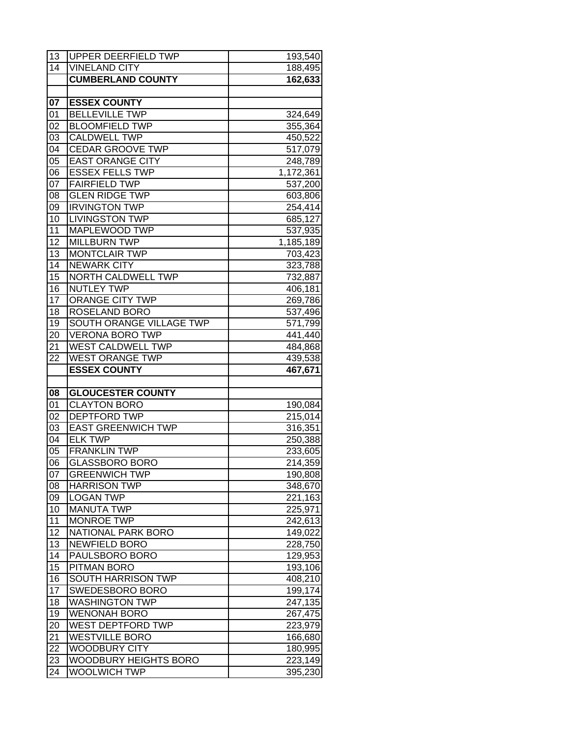| 13              | UPPER DEERFIELD TWP                                 | 193,540                |
|-----------------|-----------------------------------------------------|------------------------|
| $1\overline{4}$ | <b>VINELAND CITY</b>                                | 188,495                |
|                 | <b>CUMBERLAND COUNTY</b>                            | 162,633                |
|                 |                                                     |                        |
| 07              | <b>ESSEX COUNTY</b>                                 |                        |
| 01              | <b>BELLEVILLE TWP</b>                               | 324,649                |
| 02              | <b>BLOOMFIELD TWP</b>                               | 355,364                |
| 03              | <b>CALDWELL TWP</b>                                 | 450,522                |
| 04              | <b>CEDAR GROOVE TWP</b>                             | 517,079                |
| $0\overline{5}$ | <b>EAST ORANGE CITY</b>                             | 248,789                |
| 06              | <b>ESSEX FELLS TWP</b>                              | $\overline{1,172,361}$ |
| 07              | <b>FAIRFIELD TWP</b>                                | 537,200                |
| 08              | <b>GLEN RIDGE TWP</b>                               | 603,806                |
| 09              | <b>IRVINGTON TWP</b>                                | 254,414                |
| 10              | <b>LIVINGSTON TWP</b>                               | 685,127                |
| 11              | MAPLEWOOD TWP                                       | 537,935                |
| 12              | <b>MILLBURN TWP</b>                                 | 1,185,189              |
| 13              | <b>MONTCLAIR TWP</b>                                | 703,423                |
| 14              | <b>NEWARK CITY</b>                                  | 323,788                |
| $\overline{15}$ | <b>NORTH CALDWELL TWP</b>                           | 732,887                |
| 16              | <b>NUTLEY TWP</b>                                   | 406,181                |
| $\overline{17}$ | <b>ORANGE CITY TWP</b>                              | 269,786                |
| 18              | ROSELAND BORO                                       | 537,496                |
| 19              | SOUTH ORANGE VILLAGE TWP                            | 571,799                |
| 20              | <b>VERONA BORO TWP</b>                              | 441,440                |
| 21              | <b>WEST CALDWELL TWP</b>                            | 484,868                |
| 22              | <b>WEST ORANGE TWP</b>                              | 439,538                |
|                 | <b>ESSEX COUNTY</b>                                 |                        |
|                 |                                                     | 467,671                |
|                 |                                                     |                        |
| 08              | <b>GLOUCESTER COUNTY</b>                            |                        |
| 01              | <b>CLAYTON BORO</b>                                 | 190,084                |
| 02              | <b>DEPTFORD TWP</b>                                 | 215,014                |
| 03              | <b>EAST GREENWICH TWP</b>                           | 316,351                |
| 04              | <b>ELK TWP</b>                                      | 250,388                |
| 05              | <b>FRANKLIN TWP</b>                                 | 233,605                |
| 06              | <b>GLASSBORO BORO</b>                               | $\overline{21}$ 4,359  |
| 07              | <b>GREENWICH TWP</b>                                | 190,808                |
| 08              | <b>HARRISON TWP</b>                                 | 348,670                |
| 09              | <b>LOGAN TWP</b>                                    | 221,163                |
| 10              | <b>MANUTA TWP</b>                                   | 225,971                |
| 11              | <b>MONROE TWP</b>                                   | 242,613                |
| 12              | <b>NATIONAL PARK BORO</b>                           | 149,022                |
| 13              | <b>NEWFIELD BORO</b>                                | 228,750                |
| 14              | PAULSBORO BORO                                      | 129,953                |
| 15              | PITMAN BORO                                         | 193,106                |
| 16              | SOUTH HARRISON TWP                                  | 408,210                |
| 17              | SWEDESBORO BORO                                     | 199,174                |
| 18              | <b>WASHINGTON TWP</b>                               | 247,135                |
| 19              | <b>WENONAH BORO</b>                                 | 267,475                |
| <u>20</u>       | WEST DEPTFORD TWP                                   | 223,979                |
| 21              | <b>WESTVILLE BORO</b>                               | 166,680                |
| 22              | <b>WOODBURY CITY</b>                                | 180,995                |
| 23<br>24        | <b>WOODBURY HEIGHTS BORO</b><br><b>WOOLWICH TWP</b> | 223,149                |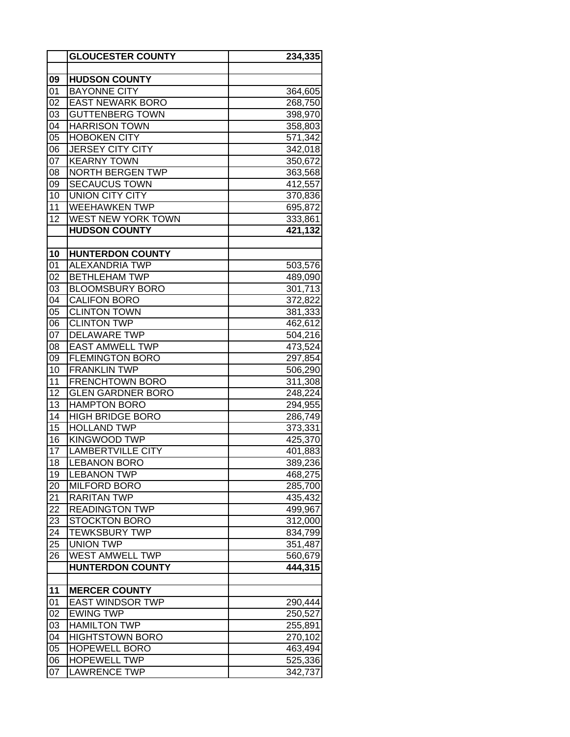|                 | <b>GLOUCESTER COUNTY</b>  | 234,335 |
|-----------------|---------------------------|---------|
|                 |                           |         |
| 09              | <b>HUDSON COUNTY</b>      |         |
| 01              | <b>BAYONNE CITY</b>       | 364,605 |
| 02              | <b>EAST NEWARK BORO</b>   | 268,750 |
| 03              | <b>GUTTENBERG TOWN</b>    | 398,970 |
| 04              | <b>HARRISON TOWN</b>      | 358,803 |
| 05              | <b>HOBOKEN CITY</b>       | 571,342 |
| 06              | <b>JERSEY CITY CITY</b>   | 342,018 |
| 07              | <b>KEARNY TOWN</b>        | 350,672 |
| 08              | <b>NORTH BERGEN TWP</b>   | 363,568 |
| 09              | <b>SECAUCUS TOWN</b>      | 412,557 |
| 10              | <b>UNION CITY CITY</b>    | 370,836 |
| 11              | <b>WEEHAWKEN TWP</b>      | 695,872 |
| 12              | <b>WEST NEW YORK TOWN</b> | 333,861 |
|                 | <b>HUDSON COUNTY</b>      | 421,132 |
|                 |                           |         |
| 10              | <b>HUNTERDON COUNTY</b>   |         |
| 01              | <b>ALEXANDRIA TWP</b>     | 503,576 |
| 02              | <b>BETHLEHAM TWP</b>      | 489,090 |
| 03              | <b>BLOOMSBURY BORO</b>    | 301,713 |
| 04              | <b>CALIFON BORO</b>       | 372,822 |
| $\overline{05}$ | <b>CLINTON TOWN</b>       | 381,333 |
| 06              | <b>CLINTON TWP</b>        | 462,612 |
| 07              | <b>DELAWARE TWP</b>       | 504,216 |
| 08              | <b>EAST AMWELL TWP</b>    | 473,524 |
| 09              | <b>FLEMINGTON BORO</b>    | 297,854 |
| 10              | <b>FRANKLIN TWP</b>       | 506,290 |
| $\overline{11}$ | <b>FRENCHTOWN BORO</b>    | 311,308 |
| 12              | <b>GLEN GARDNER BORO</b>  | 248,224 |
| 13              | <b>HAMPTON BORO</b>       | 294,955 |
| 14              | <b>HIGH BRIDGE BORO</b>   | 286,749 |
| 15              | <b>HOLLAND TWP</b>        | 373,331 |
| 16              | <b>KINGWOOD TWP</b>       | 425,370 |
| 17              | <b>LAMBERTVILLE CITY</b>  | 401,883 |
| 18              | <b>LEBANON BORO</b>       | 389,236 |
| 19              | <b>LEBANON TWP</b>        | 468,275 |
| 20              | <b>MILFORD BORO</b>       | 285,700 |
| 21              | <b>RARITAN TWP</b>        | 435,432 |
| 22              | <b>READINGTON TWP</b>     | 499,967 |
| 23              | <b>STOCKTON BORO</b>      | 312,000 |
| 24              | <b>TEWKSBURY TWP</b>      | 834,799 |
| 25              | <b>UNION TWP</b>          | 351,487 |
| 26              | WEST AMWELL TWP           | 560,679 |
|                 | <b>HUNTERDON COUNTY</b>   | 444,315 |
|                 |                           |         |
| 11              | <b>MERCER COUNTY</b>      |         |
| 01              | <b>EAST WINDSOR TWP</b>   | 290,444 |
| 02              | <b>EWING TWP</b>          | 250,527 |
| 03              | <b>HAMILTON TWP</b>       | 255,891 |
| 04              | <b>HIGHTSTOWN BORO</b>    | 270,102 |
| 05              | <b>HOPEWELL BORO</b>      | 463,494 |
| 06              | <b>HOPEWELL TWP</b>       | 525,336 |
| 07              | <b>LAWRENCE TWP</b>       | 342,737 |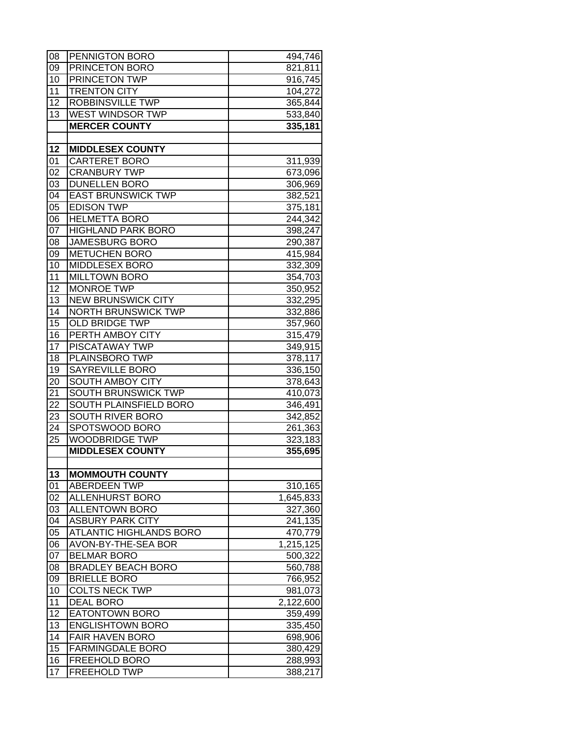| 08              | PENNIGTON BORO             | 494,746   |
|-----------------|----------------------------|-----------|
| 09              | PRINCETON BORO             | 821,811   |
| 10              | <b>PRINCETON TWP</b>       | 916,745   |
| 11              | <b>TRENTON CITY</b>        | 104,272   |
| 12              | ROBBINSVILLE TWP           | 365,844   |
| 13              | <b>WEST WINDSOR TWP</b>    | 533,840   |
|                 | <b>MERCER COUNTY</b>       | 335,181   |
|                 |                            |           |
| 12              | <b>MIDDLESEX COUNTY</b>    |           |
| 01              | <b>CARTERET BORO</b>       | 311,939   |
| 02              | <b>CRANBURY TWP</b>        | 673,096   |
| 03              | <b>DUNELLEN BORO</b>       | 306,969   |
| 04              | <b>EAST BRUNSWICK TWP</b>  | 382,521   |
| 05              | <b>EDISON TWP</b>          | 375,181   |
| 06              | <b>HELMETTA BORO</b>       | 244,342   |
| 07              | <b>HIGHLAND PARK BORO</b>  | 398,247   |
| 08              | <b>JAMESBURG BORO</b>      | 290,387   |
| 09              | <b>METUCHEN BORO</b>       | 415,984   |
| 10              | MIDDLESEX BORO             | 332,309   |
| 11              | <b>MILLTOWN BORO</b>       | 354,703   |
| 12              | <b>MONROE TWP</b>          | 350,952   |
| 13              | <b>NEW BRUNSWICK CITY</b>  | 332,295   |
| 14              | <b>NORTH BRUNSWICK TWP</b> |           |
| 15              | <b>OLD BRIDGE TWP</b>      | 332,886   |
| 16              | PERTH AMBOY CITY           | 357,960   |
| 17              | <b>PISCATAWAY TWP</b>      | 315,479   |
|                 |                            | 349,915   |
| 18              | PLAINSBORO TWP             | 378,117   |
| 19              | SAYREVILLE BORO            | 336,150   |
| 20              | SOUTH AMBOY CITY           | 378,643   |
| 21<br>22        | SOUTH BRUNSWICK TWP        | 410,073   |
|                 | SOUTH PLAINSFIELD BORO     | 346,491   |
| 23              | <b>SOUTH RIVER BORO</b>    | 342,852   |
| 24              | SPOTSWOOD BORO             | 261,363   |
| 25              | <b>WOODBRIDGE TWP</b>      | 323,183   |
|                 | <b>MIDDLESEX COUNTY</b>    | 355,695   |
| 13              | <b>MOMMOUTH COUNTY</b>     |           |
| 01              | <b>ABERDEEN TWP</b>        | 310,165   |
| 02              | <b>ALLENHURST BORO</b>     | 1,645,833 |
| 03              | <b>ALLENTOWN BORO</b>      | 327,360   |
| 04              |                            |           |
|                 | <b>ASBURY PARK CITY</b>    | 241,135   |
| 05              | ATLANTIC HIGHLANDS BORO    | 470,779   |
| 06              | AVON-BY-THE-SEA BOR        | 1,215,125 |
| 07              | <b>BELMAR BORO</b>         | 500,322   |
| 08              | <b>BRADLEY BEACH BORO</b>  | 560,788   |
| 09              | <b>BRIELLE BORO</b>        | 766,952   |
| 10              | <b>COLTS NECK TWP</b>      | 981,073   |
| 11              | <b>DEAL BORO</b>           | 2,122,600 |
| $\overline{12}$ | EATONTOWN BORO             | 359,499   |
| 13              | <b>ENGLISHTOWN BORO</b>    | 335,450   |
| 14              | <b>FAIR HAVEN BORO</b>     | 698,906   |
| $\overline{15}$ | <b>FARMINGDALE BORO</b>    | 380,429   |
| 16              | FREEHOLD BORO              | 288,993   |
| 17              | <b>FREEHOLD TWP</b>        | 388,217   |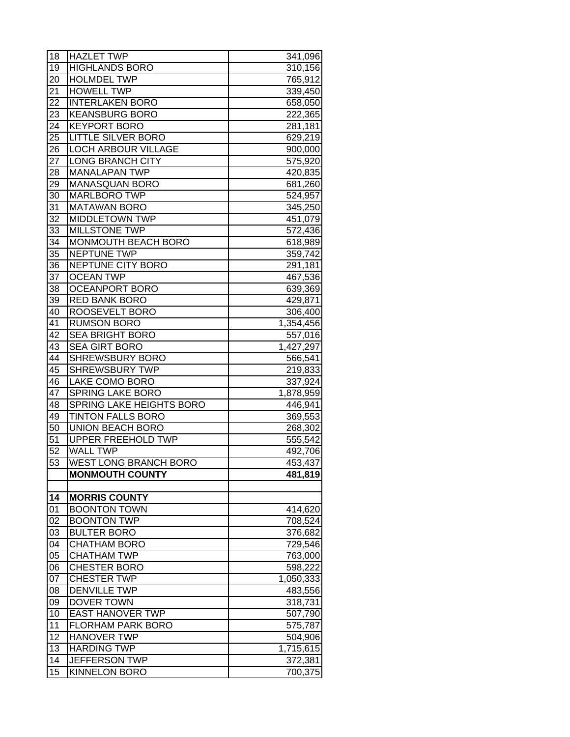| 18              | <b>HAZLET TWP</b>                                   | 341,096   |
|-----------------|-----------------------------------------------------|-----------|
| 19              | <b>HIGHLANDS BORO</b>                               | 310,156   |
| 20              | <b>HOLMDEL TWP</b>                                  | 765,912   |
| 21              | <b>HOWELL TWP</b>                                   | 339,450   |
| 22              | <b>INTERLAKEN BORO</b>                              | 658,050   |
| 23              | <b>KEANSBURG BORO</b>                               | 222,365   |
| 24              | <b>KEYPORT BORO</b>                                 | 281,181   |
| 25              | <b>LITTLE SILVER BORO</b>                           | 629,219   |
| 26              | <b>LOCH ARBOUR VILLAGE</b>                          | 900,000   |
| 27              | <b>LONG BRANCH CITY</b>                             | 575,920   |
| 28              | <b>MANALAPAN TWP</b>                                | 420,835   |
| 29              | <b>MANASQUAN BORO</b>                               | 681,260   |
| 30              | <b>MARLBORO TWP</b>                                 | 524,957   |
| 31              | <b>MATAWAN BORO</b>                                 | 345,250   |
| 32              | <b>MIDDLETOWN TWP</b>                               | 451,079   |
| 33              | <b>MILLSTONE TWP</b>                                | 572,436   |
| 34              | MONMOUTH BEACH BORO                                 | 618,989   |
| 35              | NEPTUNE TWP                                         | 359,742   |
| 36              | NEPTUNE CITY BORO                                   | 291,181   |
| 37              | <b>OCEAN TWP</b>                                    | 467,536   |
| 38              | <b>OCEANPORT BORO</b>                               | 639,369   |
| 39              | <b>RED BANK BORO</b>                                | 429,871   |
| 40              | ROOSEVELT BORO                                      | 306,400   |
| 41              | <b>RUMSON BORO</b>                                  | 1,354,456 |
| 42              | <b>SEA BRIGHT BORO</b>                              |           |
| 43              | <b>SEA GIRT BORO</b>                                | 557,016   |
| 44              | <b>SHREWSBURY BORO</b>                              | 1,427,297 |
| 45              | <b>SHREWSBURY TWP</b>                               | 566,541   |
|                 |                                                     | 219,833   |
| 46<br>47        | <b>LAKE COMO BORO</b>                               | 337,924   |
| 48              | <b>SPRING LAKE BORO</b><br>SPRING LAKE HEIGHTS BORO | 1,878,959 |
| 49              | <b>TINTON FALLS BORO</b>                            | 446,941   |
| 50              | UNION BEACH BORO                                    | 369,553   |
| 51              | UPPER FREEHOLD TWP                                  | 268,302   |
| 52              | <b>WALL TWP</b>                                     | 555,542   |
| $\overline{53}$ | <b>WEST LONG BRANCH BORO</b>                        | 492,706   |
|                 |                                                     | 453,437   |
|                 | <b>MONMOUTH COUNTY</b>                              | 481,819   |
| 14              | <b>MORRIS COUNTY</b>                                |           |
| 01              | <b>BOONTON TOWN</b>                                 | 414,620   |
| 02              | <b>BOONTON TWP</b>                                  | 708,524   |
| 03              | <b>BULTER BORO</b>                                  | 376,682   |
| 04              | <b>CHATHAM BORO</b>                                 |           |
| 05              | <b>CHATHAM TWP</b>                                  | 729,546   |
| 06              | <b>CHESTER BORO</b>                                 | 763,000   |
| 07              | <b>CHESTER TWP</b>                                  | 598,222   |
|                 |                                                     | 1,050,333 |
| 08              | <b>DENVILLE TWP</b>                                 | 483,556   |
| 09              | DOVER TOWN                                          | 318,731   |
| 10              | <b>EAST HANOVER TWP</b>                             | 507,790   |
| 11              | <b>FLORHAM PARK BORO</b>                            | 575,787   |
| 12              | <b>HANOVER TWP</b>                                  | 504,906   |
| 13              | <b>HARDING TWP</b>                                  | 1,715,615 |
| 14              | <b>JEFFERSON TWP</b>                                | 372,381   |
| 15              | <b>KINNELON BORO</b>                                | 700,375   |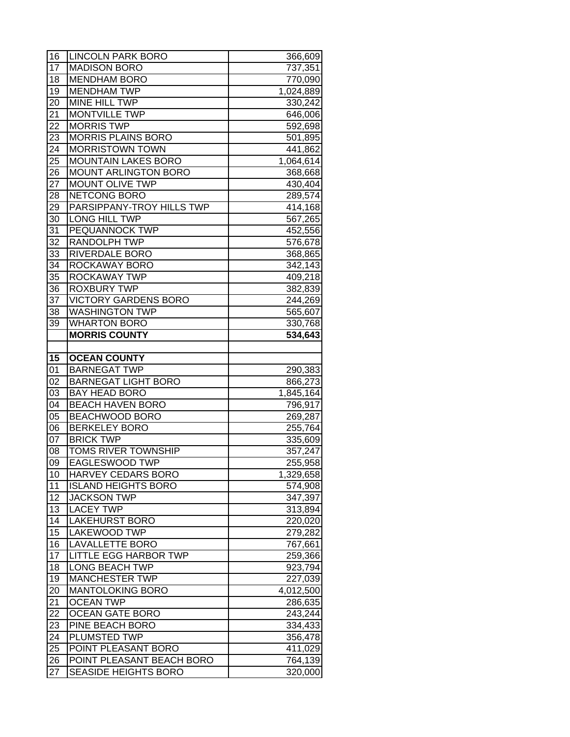| 16       | <b>LINCOLN PARK BORO</b>                    | 366,609            |
|----------|---------------------------------------------|--------------------|
| 17       | <b>MADISON BORO</b>                         | 737,351            |
| 18       | <b>MENDHAM BORO</b>                         | 770,090            |
| 19       | <b>MENDHAM TWP</b>                          | 1,024,889          |
| 20       | <b>MINE HILL TWP</b>                        | 330,242            |
| 21       | <b>MONTVILLE TWP</b>                        | 646,006            |
| 22       | <b>MORRIS TWP</b>                           | 592,698            |
| 23       | <b>MORRIS PLAINS BORO</b>                   | 501,895            |
| 24       | <b>MORRISTOWN TOWN</b>                      | 441,862            |
| 25       | <b>MOUNTAIN LAKES BORO</b>                  | 1,064,614          |
| 26       | <b>MOUNT ARLINGTON BORO</b>                 | 368,668            |
| 27       | MOUNT OLIVE TWP                             | 430,404            |
| 28       | <b>NETCONG BORO</b>                         | 289,574            |
| 29       | PARSIPPANY-TROY HILLS TWP                   | 414,168            |
| 30       | <b>LONG HILL TWP</b>                        | 567,265            |
| 31       | PEQUANNOCK TWP                              | 452,556            |
| 32       | <b>RANDOLPH TWP</b>                         | 576,678            |
| 33       | <b>RIVERDALE BORO</b>                       | 368,865            |
| 34       | <b>ROCKAWAY BORO</b>                        | 342,143            |
| 35       | <b>ROCKAWAY TWP</b>                         | 409,218            |
| 36       | <b>ROXBURY TWP</b>                          | 382,839            |
| 37       | <b>VICTORY GARDENS BORO</b>                 | 244,269            |
| 38       | <b>WASHINGTON TWP</b>                       | 565,607            |
| 39       | <b>WHARTON BORO</b>                         | 330,768            |
|          | <b>MORRIS COUNTY</b>                        | 534,643            |
|          |                                             |                    |
| 15       | <b>OCEAN COUNTY</b>                         |                    |
| 01       | <b>BARNEGAT TWP</b>                         | 290,383            |
| 02       | <b>BARNEGAT LIGHT BORO</b>                  | 866,273            |
| 03       | <b>BAY HEAD BORO</b>                        | 1,845,164          |
| 04       | <b>BEACH HAVEN BORO</b>                     | 796,917            |
| 05       | <b>BEACHWOOD BORO</b>                       | 269,287            |
| 06       | <b>BERKELEY BORO</b>                        | 255,764            |
| 07       | <b>BRICK TWP</b>                            | 335,609            |
| 08       | <b>TOMS RIVER TOWNSHIP</b>                  | 357,247            |
| 09       | <b>EAGLESWOOD TWP</b>                       | 255,958            |
| 10       | HARVEY CEDARS BORO                          | 1,329,658          |
| 11       | <b>ISLAND HEIGHTS BORO</b>                  | 574,908            |
| 12       | <b>JACKSON TWP</b>                          | 347,397            |
| 13       | <b>LACEY TWP</b>                            | 313,894            |
| 14       | <b>LAKEHURST BORO</b>                       | 220,020            |
| 15       | <b>LAKEWOOD TWP</b>                         | 279,282            |
| 16       | <b>LAVALLETTE BORO</b>                      | 767,661            |
| 17<br>18 | <b>LITTLE EGG HARBOR TWP</b>                | 259,366            |
| 19       | <b>LONG BEACH TWP</b>                       | 923,794            |
|          | <b>MANCHESTER TWP</b>                       | 227,039            |
| 20<br>21 | <b>MANTOLOKING BORO</b><br><b>OCEAN TWP</b> | 4,012,500          |
| 22       | <b>OCEAN GATE BORO</b>                      | 286,635            |
|          | PINE BEACH BORO                             | 243,244            |
| 23<br>24 | PLUMSTED TWP                                | 334,433<br>356,478 |
| 25       | POINT PLEASANT BORO                         | 411,029            |
| 26       | POINT PLEASANT BEACH BORO                   | 764,139            |
| 27       | <b>SEASIDE HEIGHTS BORO</b>                 | 320,000            |
|          |                                             |                    |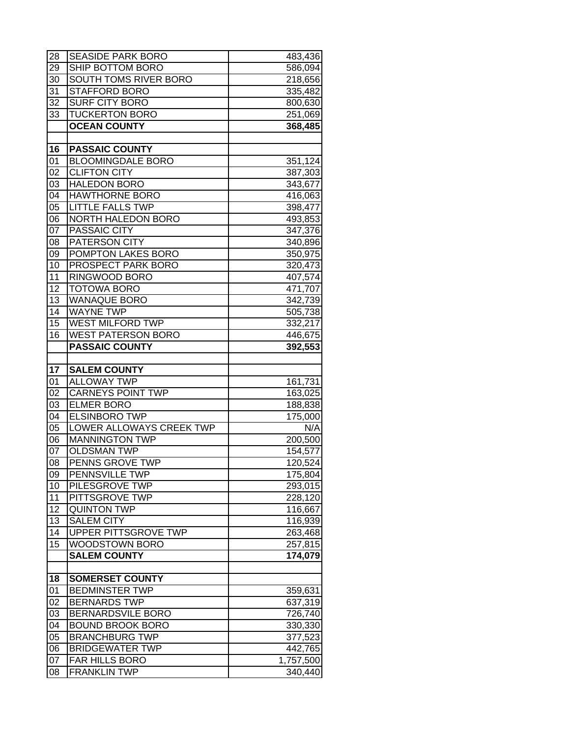| 28                    | <b>SEASIDE PARK BORO</b>                         | 483,436              |
|-----------------------|--------------------------------------------------|----------------------|
| 29                    | SHIP BOTTOM BORO                                 | 586,094              |
| 30                    | SOUTH TOMS RIVER BORO                            | 218,656              |
| 31                    | <b>STAFFORD BORO</b>                             | 335,482              |
| 32                    | <b>SURF CITY BORO</b>                            | 800,630              |
| 33                    | <b>TUCKERTON BORO</b>                            | 251,069              |
|                       | <b>OCEAN COUNTY</b>                              | 368,485              |
|                       |                                                  |                      |
| 16                    | <b>PASSAIC COUNTY</b>                            |                      |
| 01                    | <b>BLOOMINGDALE BORO</b>                         | 351,124              |
| 02                    | <b>CLIFTON CITY</b>                              | 387,303              |
| 03                    | <b>HALEDON BORO</b>                              | 343,677              |
| 04                    | <b>HAWTHORNE BORO</b>                            | 416,063              |
| 05                    | <b>LITTLE FALLS TWP</b>                          | 398,477              |
| 06                    | NORTH HALEDON BORO                               | 493,853              |
| 07                    | <b>PASSAIC CITY</b>                              | 347,376              |
| 08                    | <b>PATERSON CITY</b>                             | 340,896              |
| 09                    | <b>POMPTON LAKES BORO</b>                        | 350,975              |
| 10                    | <b>PROSPECT PARK BORO</b>                        | 320,473              |
| 11                    | <b>RINGWOOD BORO</b>                             | 407,574              |
| 12<br>$\overline{13}$ | <b>TOTOWA BORO</b>                               | 471,707              |
| 14                    | <b>WANAQUE BORO</b><br><b>WAYNE TWP</b>          | 342,739              |
| 15                    | <b>WEST MILFORD TWP</b>                          | 505,738              |
| 16                    | <b>WEST PATERSON BORO</b>                        | 332,217              |
|                       | <b>PASSAIC COUNTY</b>                            | 446,675<br>392,553   |
|                       |                                                  |                      |
|                       | <b>SALEM COUNTY</b>                              |                      |
|                       |                                                  |                      |
| 17                    |                                                  |                      |
| 01                    | <b>ALLOWAY TWP</b>                               | 161,731              |
| 02<br>03              | <b>CARNEYS POINT TWP</b><br><b>ELMER BORO</b>    | 163,025              |
|                       |                                                  | 188,838              |
| 04                    | <b>ELSINBORO TWP</b><br>LOWER ALLOWAYS CREEK TWP | 175,000              |
| 05<br>06              | <b>MANNINGTON TWP</b>                            | N/A<br>200,500       |
| 07                    | <b>OLDSMAN TWP</b>                               |                      |
| 08                    | <b>PENNS GROVE TWP</b>                           | 154,577<br>120,524   |
| 09                    | PENNSVILLE TWP                                   | 175,804              |
| 10                    | PILESGROVE TWP                                   | 293,015              |
| 11                    | PITTSGROVE TWP                                   | 228,120              |
| 12                    | <b>QUINTON TWP</b>                               | 116,667              |
| 13                    | <b>SALEM CITY</b>                                | 116,939              |
| 14                    | UPPER PITTSGROVE TWP                             | 263,468              |
| 15                    | WOODSTOWN BORO                                   | 257,815              |
|                       | <b>SALEM COUNTY</b>                              | 174,079              |
|                       |                                                  |                      |
| 18                    | <b>SOMERSET COUNTY</b>                           |                      |
| 01                    | <b>BEDMINSTER TWP</b>                            | 359,631              |
| 02                    | <b>BERNARDS TWP</b>                              | 637,319              |
| 03                    | BERNARDSVILE BORO                                | 726,740              |
| 04                    | <b>BOUND BROOK BORO</b>                          | 330,330              |
| 05                    | <b>BRANCHBURG TWP</b>                            | 377,523              |
| 06                    | <b>BRIDGEWATER TWP</b>                           | 442,765              |
| 07<br>08              | FAR HILLS BORO<br><b>FRANKLIN TWP</b>            | 1,757,500<br>340,440 |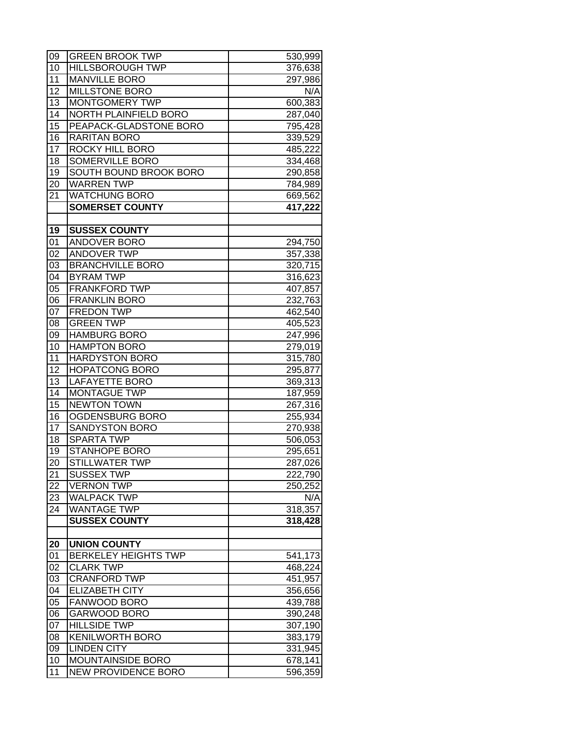| 09              | <b>GREEN BROOK TWP</b>        | 530,999 |
|-----------------|-------------------------------|---------|
| 10              | <b>HILLSBOROUGH TWP</b>       | 376,638 |
| 11              | <b>MANVILLE BORO</b>          | 297,986 |
| 12              | <b>MILLSTONE BORO</b>         | N/A     |
| 13              | MONTGOMERY TWP                | 600,383 |
| 14              | NORTH PLAINFIELD BORO         | 287,040 |
| 15              | PEAPACK-GLADSTONE BORO        | 795,428 |
| 16              | <b>RARITAN BORO</b>           | 339,529 |
| $\overline{17}$ | <b>ROCKY HILL BORO</b>        | 485,222 |
| 18              | SOMERVILLE BORO               | 334,468 |
| 19              | <b>SOUTH BOUND BROOK BORO</b> | 290,858 |
| 20              | <b>WARREN TWP</b>             | 784,989 |
| 21              | <b>WATCHUNG BORO</b>          | 669,562 |
|                 | <b>SOMERSET COUNTY</b>        | 417,222 |
|                 |                               |         |
| 19              | <b>SUSSEX COUNTY</b>          |         |
| 01              | ANDOVER BORO                  | 294,750 |
| 02              | <b>ANDOVER TWP</b>            | 357,338 |
| 03              | <b>BRANCHVILLE BORO</b>       | 320,715 |
| 04              | <b>BYRAM TWP</b>              | 316,623 |
| 05              | <b>FRANKFORD TWP</b>          | 407,857 |
| 06              | <b>FRANKLIN BORO</b>          | 232,763 |
| 07              | <b>FREDON TWP</b>             | 462,540 |
| 08              | <b>GREEN TWP</b>              | 405,523 |
| 09              | <b>HAMBURG BORO</b>           | 247,996 |
| 10              | <b>HAMPTON BORO</b>           | 279,019 |
| 11              | <b>HARDYSTON BORO</b>         | 315,780 |
| 12              | <b>HOPATCONG BORO</b>         | 295,877 |
| 13              | <b>LAFAYETTE BORO</b>         | 369,313 |
| 14              | <b>MONTAGUE TWP</b>           | 187,959 |
| 15              | <b>NEWTON TOWN</b>            | 267,316 |
| 16              | OGDENSBURG BORO               | 255,934 |
| 17              | SANDYSTON BORO                | 270,938 |
| 18              | <b>SPARTA TWP</b>             | 506,053 |
| 19              | <b>STANHOPE BORO</b>          | 295,651 |
| 20              | <b>STILLWATER TWP</b>         | 287,026 |
| 21              | <b>SUSSEX TWP</b>             | 222,790 |
| 22              | <b>VERNON TWP</b>             | 250,252 |
| 23              | <b>WALPACK TWP</b>            | N/A     |
| 24              | <b>WANTAGE TWP</b>            | 318,357 |
|                 | <b>SUSSEX COUNTY</b>          | 318,428 |
|                 |                               |         |
| 20              | <b>UNION COUNTY</b>           |         |
| 01              | <b>BERKELEY HEIGHTS TWP</b>   | 541,173 |
| 02              | <b>CLARK TWP</b>              | 468,224 |
| 03              | <b>CRANFORD TWP</b>           | 451,957 |
| 04              | <b>ELIZABETH CITY</b>         | 356,656 |
| 05              | FANWOOD BORO                  | 439,788 |
| 06              | <b>GARWOOD BORO</b>           | 390,248 |
| 07              | <b>HILLSIDE TWP</b>           | 307,190 |
| 08              | <b>KENILWORTH BORO</b>        | 383,179 |
| 09              | <b>LINDEN CITY</b>            | 331,945 |
| 10              | <b>MOUNTAINSIDE BORO</b>      | 678,141 |
| 11              | <b>NEW PROVIDENCE BORO</b>    | 596,359 |